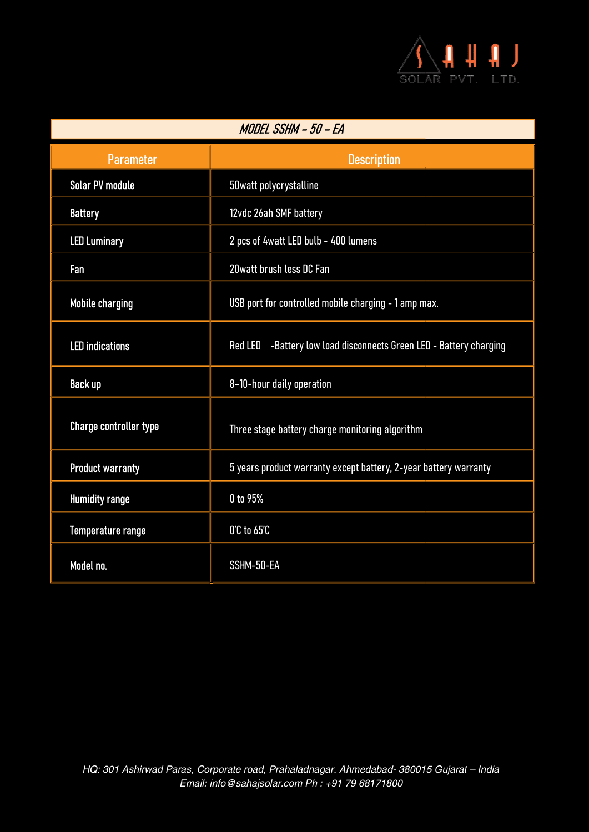

| MODEL SSHM - 50 - EA          |                                                                    |
|-------------------------------|--------------------------------------------------------------------|
| <b>Parameter</b>              | <b>Description</b>                                                 |
| <b>Solar PV module</b>        | 50watt polycrystalline                                             |
| <b>Battery</b>                | 12vdc 26ah SMF battery                                             |
| <b>LED Luminary</b>           | 2 pcs of 4watt LED bulb - 400 lumens                               |
| Fan                           | 20 watt brush less DC Fan                                          |
| <b>Mobile charging</b>        | USB port for controlled mobile charging - 1 amp max.               |
| <b>LED</b> indications        | Red LED -Battery low load disconnects Green LED - Battery charging |
| <b>Back up</b>                | 8-10-hour daily operation                                          |
| <b>Charge controller type</b> | Three stage battery charge monitoring algorithm                    |
| <b>Product warranty</b>       | 5 years product warranty except battery, 2-year battery warranty   |
| <b>Humidity range</b>         | 0 to 95%                                                           |
| Temperature range             | $0^\circ$ C to $65^\circ$ C                                        |
| Model no.                     | SSHM-50-EA                                                         |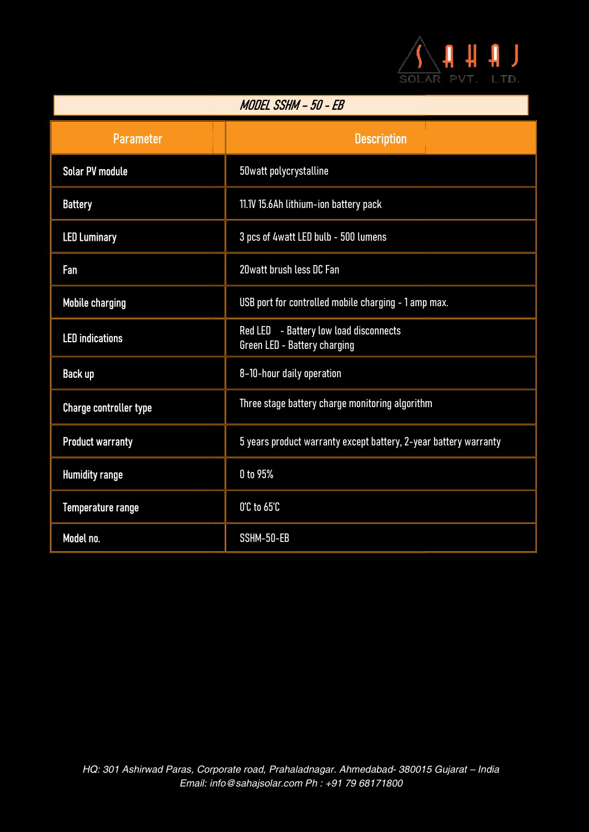

| MODEL SSHM - 50 - EB          |                                                                        |
|-------------------------------|------------------------------------------------------------------------|
| <b>Parameter</b>              | <b>Description</b>                                                     |
| <b>Solar PV module</b>        | 50watt polycrystalline                                                 |
| <b>Battery</b>                | 11.1V 15.6Ah lithium-ion battery pack                                  |
| <b>LED Luminary</b>           | 3 pcs of 4watt LED bulb - 500 lumens                                   |
| Fan                           | 20 watt brush less DC Fan                                              |
| <b>Mobile charging</b>        | USB port for controlled mobile charging - 1 amp max.                   |
| <b>LED</b> indications        | Red LED - Battery low load disconnects<br>Green LED - Battery charging |
| <b>Back up</b>                | 8-10-hour daily operation                                              |
| <b>Charge controller type</b> | Three stage battery charge monitoring algorithm                        |
| <b>Product warranty</b>       | 5 years product warranty except battery, 2-year battery warranty       |
| <b>Humidity range</b>         | 0 to 95%                                                               |
| Temperature range             | 0'C to 65'C                                                            |
| Model no.                     | SSHM-50-EB                                                             |